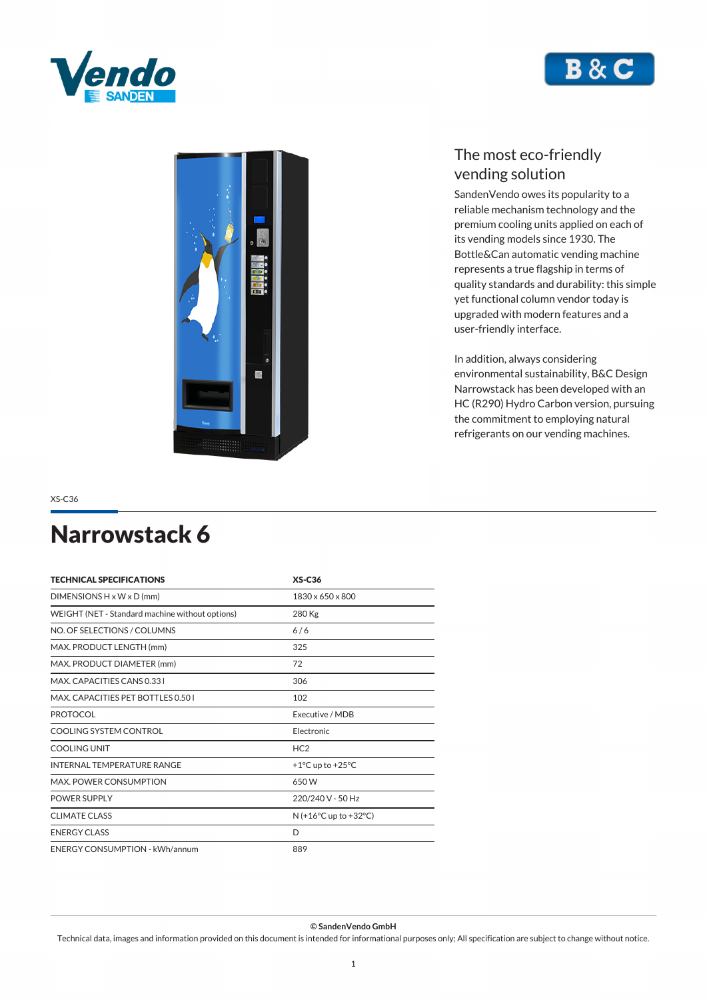





*SandenVendo owes its popularity to a reliable mechanism technology and the premium cooling units applied on each of its vending models since 1930. The Bottle&Can automatic vending machine represents a true flagship in terms of quality standards and durability: this simple yet functional column vendor today is upgraded with modern features and a user-friendly interface.*

*In addition, always considering environmental sustainability, B&C Design Narrowstack has been developed with an HC (R290) Hydro Carbon version, pursuing the commitment to employing natural refrigerants on our vending machines.*

*XS-C36*

### *Narrowstack 6*

| <b>TECHNICAL SPECIFICATIONS</b>                 | $XS-C36$                               |
|-------------------------------------------------|----------------------------------------|
| DIMENSIONS $H \times W \times D$ (mm)           | 1830 x 650 x 800                       |
| WEIGHT (NET - Standard machine without options) | 280 Kg                                 |
| NO. OF SELECTIONS / COLUMNS                     | 6/6                                    |
| MAX. PRODUCT LENGTH (mm)                        | 325                                    |
| MAX. PRODUCT DIAMETER (mm)                      | 72                                     |
| MAX. CAPACITIES CANS 0.331                      | 306                                    |
| MAX. CAPACITIES PET BOTTLES 0.50 L              | 102                                    |
| <b>PROTOCOL</b>                                 | Executive / MDB                        |
| COOLING SYSTEM CONTROL                          | Flectronic                             |
| COOLING UNIT                                    | HC <sub>2</sub>                        |
| <b>INTERNAL TEMPERATURE RANGE</b>               | +1 $^{\circ}$ C up to +25 $^{\circ}$ C |
| <b>MAX. POWER CONSUMPTION</b>                   | 650W                                   |
| <b>POWER SUPPLY</b>                             | 220/240 V - 50 Hz                      |
| <b>CLIMATE CLASS</b>                            | $N (+16°C$ up to $+32°C$ )             |
| <b>ENERGY CLASS</b>                             | D                                      |
| <b>ENERGY CONSUMPTION - kWh/annum</b>           | 889                                    |

*© SandenVendo GmbH*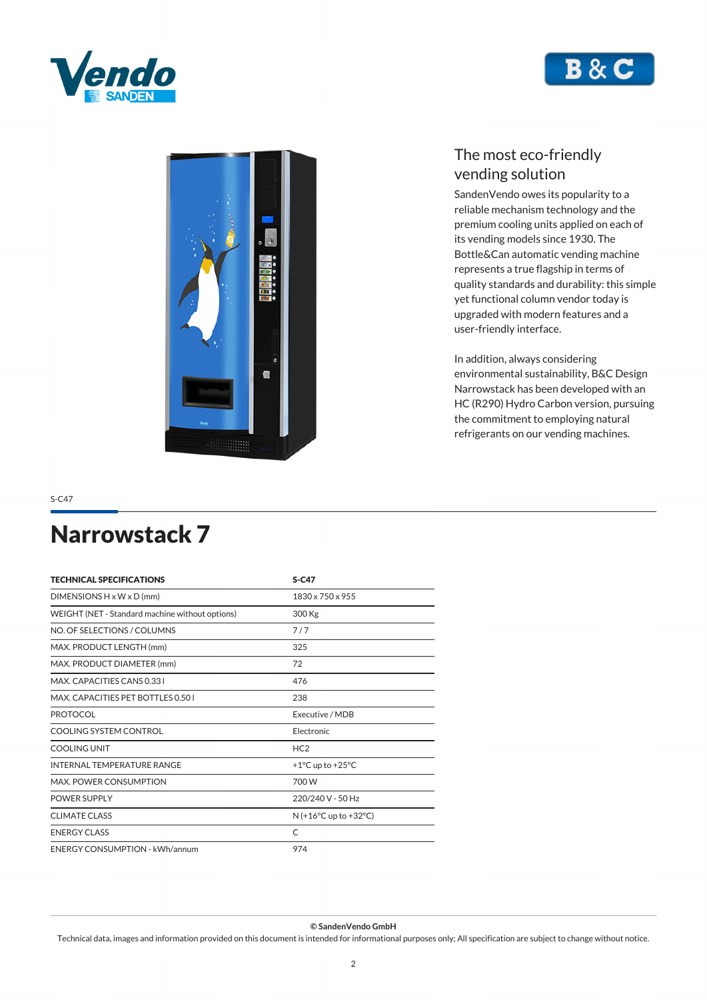





*SandenVendo owes its popularity to a reliable mechanism technology and the premium cooling units applied on each of its vending models since 1930. The Bottle&Can automatic vending machine represents a true flagship in terms of quality standards and durability: this simple yet functional column vendor today is upgraded with modern features and a user-friendly interface.*

*In addition, always considering environmental sustainability, B&C Design Narrowstack has been developed with an HC (R290) Hydro Carbon version, pursuing the commitment to employing natural refrigerants on our vending machines.*

*S-C47*

# *Narrowstack 7*

| <b>TECHNICAL SPECIFICATIONS</b>                 | $S-C47$                              |
|-------------------------------------------------|--------------------------------------|
| DIMENSIONS $H \times W \times D$ (mm)           | 1830 x 750 x 955                     |
| WEIGHT (NET - Standard machine without options) | 300 Kg                               |
| NO. OF SELECTIONS / COLUMNS                     | 7/7                                  |
| MAX. PRODUCT LENGTH (mm)                        | 325                                  |
| MAX. PRODUCT DIAMETER (mm)                      | 72                                   |
| MAX. CAPACITIES CANS 0.331                      | 476                                  |
| MAX. CAPACITIES PET BOTTLES 0.50 L              | 238                                  |
| <b>PROTOCOL</b>                                 | Executive / MDB                      |
| COOLING SYSTEM CONTROL                          | Electronic                           |
| <b>COOLING UNIT</b>                             | HC2                                  |
| <b>INTERNAL TEMPERATURE RANGE</b>               | +1 $\degree$ C up to +25 $\degree$ C |
| <b>MAX. POWER CONSUMPTION</b>                   | 700 W                                |
| <b>POWER SUPPLY</b>                             | 220/240 V - 50 Hz                    |
| CLIMATE CLASS                                   | $N (+16°C$ up to $+32°C$ )           |
| <b>ENERGY CLASS</b>                             | C                                    |
| <b>ENERGY CONSUMPTION - kWh/annum</b>           | 974                                  |

*© SandenVendo GmbH*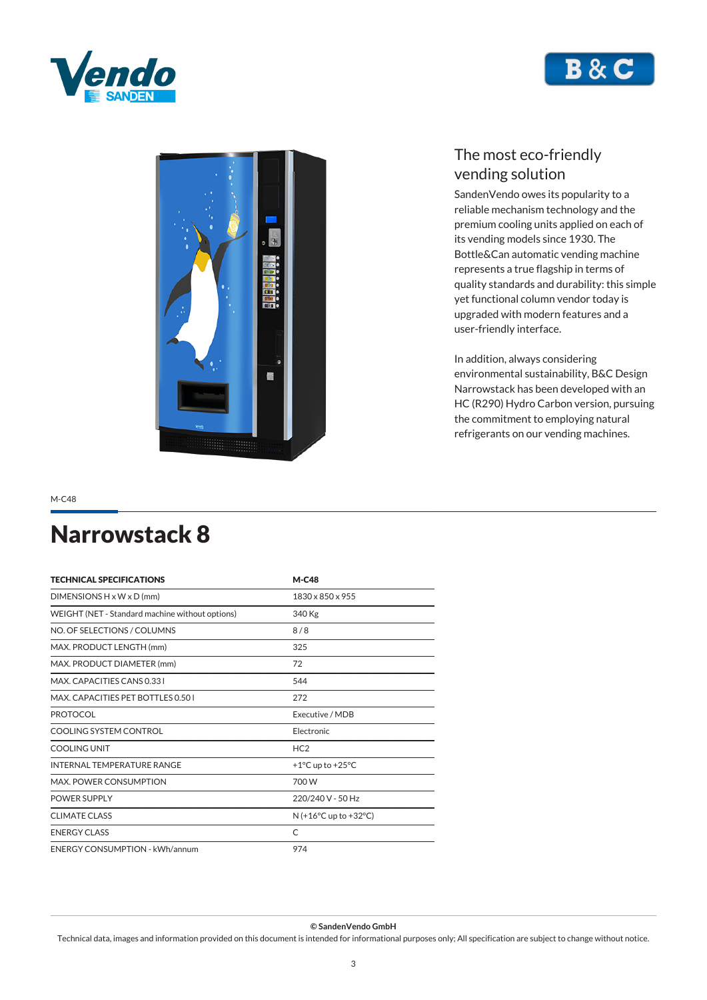





*SandenVendo owes its popularity to a reliable mechanism technology and the premium cooling units applied on each of its vending models since 1930. The Bottle&Can automatic vending machine represents a true flagship in terms of quality standards and durability: this simple yet functional column vendor today is upgraded with modern features and a user-friendly interface.*

*In addition, always considering environmental sustainability, B&C Design Narrowstack has been developed with an HC (R290) Hydro Carbon version, pursuing the commitment to employing natural refrigerants on our vending machines.*

*M-C48*

## *Narrowstack 8*

| <b>TECHNICAL SPECIFICATIONS</b>                 | $M-C48$                                |
|-------------------------------------------------|----------------------------------------|
| $DIMENSIONS H \times W \times D$ (mm)           | 1830 x 850 x 955                       |
| WEIGHT (NET - Standard machine without options) | 340 Kg                                 |
| NO. OF SELECTIONS / COLUMNS                     | 8/8                                    |
| MAX. PRODUCT LENGTH (mm)                        | 325                                    |
| MAX. PRODUCT DIAMETER (mm)                      | 72                                     |
| MAX. CAPACITIES CANS 0.331                      | 544                                    |
| MAX. CAPACITIES PET BOTTLES 0.501               | 272                                    |
| <b>PROTOCOL</b>                                 | Executive / MDB                        |
| COOLING SYSTEM CONTROL                          | Flectronic                             |
| COOLING UNIT                                    | HC <sub>2</sub>                        |
| <b>INTERNAL TEMPERATURE RANGE</b>               | +1 $^{\circ}$ C up to +25 $^{\circ}$ C |
| <b>MAX. POWER CONSUMPTION</b>                   | 700 W                                  |
| <b>POWER SUPPLY</b>                             | 220/240 V - 50 Hz                      |
| <b>CLIMATE CLASS</b>                            | $N (+16°C$ up to $+32°C$ )             |
| <b>ENERGY CLASS</b>                             | C                                      |
| <b>ENERGY CONSUMPTION - kWh/annum</b>           | 974                                    |

*© SandenVendo GmbH*